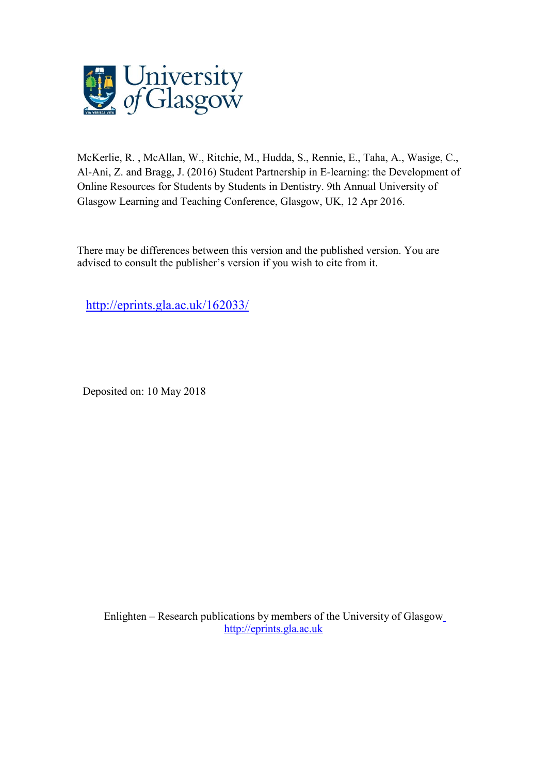

McKerlie, R. , McAllan, W., Ritchie, M., Hudda, S., Rennie, E., Taha, A., Wasige, C., Al-Ani, Z. and Bragg, J. (2016) Student Partnership in E-learning: the Development of Online Resources for Students by Students in Dentistry. 9th Annual University of Glasgow Learning and Teaching Conference, Glasgow, UK, 12 Apr 2016.

There may be differences between this version and the published version. You are advised to consult the publisher's version if you wish to cite from it.

<http://eprints.gla.ac.uk/162033/>

Deposited on: 10 May 2018

Enlighten – Research publications by members of the University of Glasgo[w](http://eprints.gla.ac.uk/) [http://eprints.gla.ac.uk](http://eprints.gla.ac.uk/)